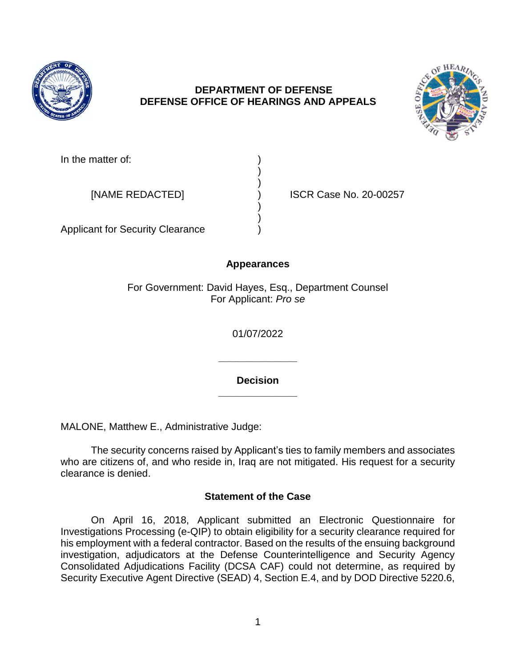

# **DEPARTMENT OF DEFENSE DEFENSE OFFICE OF HEARINGS AND APPEALS**

) )

) )



In the matter of:

[NAME REDACTED] ) ISCR Case No. 20-00257

Applicant for Security Clearance )

# **Appearances**

For Government: David Hayes, Esq., Department Counsel For Applicant: *Pro se* 

01/07/2022

**\_\_\_\_\_\_\_\_\_\_\_\_\_\_ Decision** 

**\_\_\_\_\_\_\_\_\_\_\_\_\_\_** 

MALONE, Matthew E., Administrative Judge:

 The security concerns raised by Applicant's ties to family members and associates who are citizens of, and who reside in, Iraq are not mitigated. His request for a security clearance is denied.

# **Statement of the Case**

 On April 16, 2018, Applicant submitted an Electronic Questionnaire for Investigations Processing (e-QIP) to obtain eligibility for a security clearance required for his employment with a federal contractor. Based on the results of the ensuing background investigation, adjudicators at the Defense Counterintelligence and Security Agency Consolidated Adjudications Facility (DCSA CAF) could not determine, as required by Security Executive Agent Directive (SEAD) 4, Section E.4, and by DOD Directive 5220.6,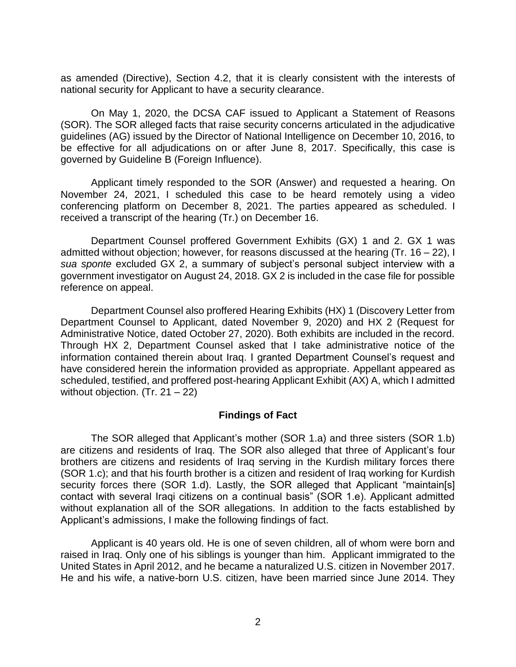as amended (Directive), Section 4.2, that it is clearly consistent with the interests of national security for Applicant to have a security clearance.

 On May 1, 2020, the DCSA CAF issued to Applicant a Statement of Reasons (SOR). The SOR alleged facts that raise security concerns articulated in the adjudicative guidelines (AG) issued by the Director of National Intelligence on December 10, 2016, to be effective for all adjudications on or after June 8, 2017. Specifically, this case is governed by Guideline B (Foreign Influence).

 Applicant timely responded to the SOR (Answer) and requested a hearing. On November 24, 2021, I scheduled this case to be heard remotely using a video conferencing platform on December 8, 2021. The parties appeared as scheduled. I received a transcript of the hearing (Tr.) on December 16.

 Department Counsel proffered Government Exhibits (GX) 1 and 2. GX 1 was admitted without objection; however, for reasons discussed at the hearing (Tr. 16 – 22), I *sua sponte* excluded GX 2, a summary of subject's personal subject interview with a government investigator on August 24, 2018. GX 2 is included in the case file for possible reference on appeal.

 Department Counsel also proffered Hearing Exhibits (HX) 1 (Discovery Letter from Department Counsel to Applicant, dated November 9, 2020) and HX 2 (Request for Administrative Notice, dated October 27, 2020). Both exhibits are included in the record. Through HX 2, Department Counsel asked that I take administrative notice of the information contained therein about Iraq. I granted Department Counsel's request and have considered herein the information provided as appropriate. Appellant appeared as scheduled, testified, and proffered post-hearing Applicant Exhibit (AX) A, which I admitted without objection.  $(Tr. 21 – 22)$ 

### **Findings of Fact**

 The SOR alleged that Applicant's mother (SOR 1.a) and three sisters (SOR 1.b) are citizens and residents of Iraq. The SOR also alleged that three of Applicant's four brothers are citizens and residents of Iraq serving in the Kurdish military forces there (SOR 1.c); and that his fourth brother is a citizen and resident of Iraq working for Kurdish security forces there (SOR 1.d). Lastly, the SOR alleged that Applicant "maintain[s] contact with several Iraqi citizens on a continual basis" (SOR 1.e). Applicant admitted without explanation all of the SOR allegations. In addition to the facts established by Applicant's admissions, I make the following findings of fact.

 Applicant is 40 years old. He is one of seven children, all of whom were born and raised in Iraq. Only one of his siblings is younger than him. Applicant immigrated to the United States in April 2012, and he became a naturalized U.S. citizen in November 2017. He and his wife, a native-born U.S. citizen, have been married since June 2014. They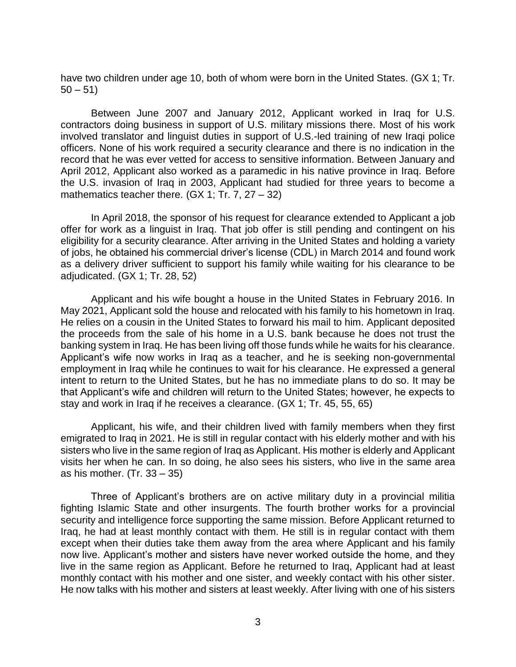have two children under age 10, both of whom were born in the United States. (GX 1; Tr.  $50 - 51$ 

 Between June 2007 and January 2012, Applicant worked in Iraq for U.S. contractors doing business in support of U.S. military missions there. Most of his work involved translator and linguist duties in support of U.S.-led training of new Iraqi police officers. None of his work required a security clearance and there is no indication in the April 2012, Applicant also worked as a paramedic in his native province in Iraq. Before the U.S. invasion of Iraq in 2003, Applicant had studied for three years to become a record that he was ever vetted for access to sensitive information. Between January and mathematics teacher there.  $(GX 1; Tr. 7, 27 - 32)$ 

 In April 2018, the sponsor of his request for clearance extended to Applicant a job offer for work as a linguist in Iraq. That job offer is still pending and contingent on his eligibility for a security clearance. After arriving in the United States and holding a variety of jobs, he obtained his commercial driver's license (CDL) in March 2014 and found work as a delivery driver sufficient to support his family while waiting for his clearance to be adjudicated. (GX 1; Tr. 28, 52)

 Applicant and his wife bought a house in the United States in February 2016. In May 2021, Applicant sold the house and relocated with his family to his hometown in Iraq. He relies on a cousin in the United States to forward his mail to him. Applicant deposited the proceeds from the sale of his home in a U.S. bank because he does not trust the banking system in Iraq. He has been living off those funds while he waits for his clearance. Applicant's wife now works in Iraq as a teacher, and he is seeking non-governmental intent to return to the United States, but he has no immediate plans to do so. It may be employment in Iraq while he continues to wait for his clearance. He expressed a general that Applicant's wife and children will return to the United States; however, he expects to stay and work in Iraq if he receives a clearance. (GX 1; Tr. 45, 55, 65)

 Applicant, his wife, and their children lived with family members when they first emigrated to Iraq in 2021. He is still in regular contact with his elderly mother and with his sisters who live in the same region of Iraq as Applicant. His mother is elderly and Applicant visits her when he can. In so doing, he also sees his sisters, who live in the same area as his mother.  $(Tr. 33 - 35)$ 

 Three of Applicant's brothers are on active military duty in a provincial militia fighting Islamic State and other insurgents. The fourth brother works for a provincial security and intelligence force supporting the same mission. Before Applicant returned to Iraq, he had at least monthly contact with them. He still is in regular contact with them except when their duties take them away from the area where Applicant and his family now live. Applicant's mother and sisters have never worked outside the home, and they live in the same region as Applicant. Before he returned to Iraq, Applicant had at least monthly contact with his mother and one sister, and weekly contact with his other sister. He now talks with his mother and sisters at least weekly. After living with one of his sisters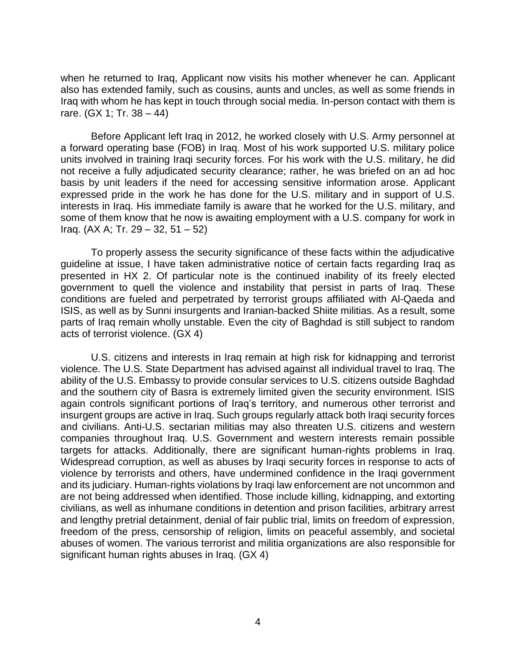when he returned to Iraq, Applicant now visits his mother whenever he can. Applicant also has extended family, such as cousins, aunts and uncles, as well as some friends in Iraq with whom he has kept in touch through social media. In-person contact with them is rare. (GX 1; Tr. 38 – 44)

 Before Applicant left Iraq in 2012, he worked closely with U.S. Army personnel at a forward operating base (FOB) in Iraq. Most of his work supported U.S. military police units involved in training Iraqi security forces. For his work with the U.S. military, he did not receive a fully adjudicated security clearance; rather, he was briefed on an ad hoc basis by unit leaders if the need for accessing sensitive information arose. Applicant expressed pride in the work he has done for the U.S. military and in support of U.S. interests in Iraq. His immediate family is aware that he worked for the U.S. military, and some of them know that he now is awaiting employment with a U.S. company for work in Iraq. (AX A; Tr. 29 – 32, 51 – 52)

 To properly assess the security significance of these facts within the adjudicative guideline at issue, I have taken administrative notice of certain facts regarding Iraq as presented in HX 2. Of particular note is the continued inability of its freely elected government to quell the violence and instability that persist in parts of Iraq. These conditions are fueled and perpetrated by terrorist groups affiliated with Al-Qaeda and ISIS, as well as by Sunni insurgents and Iranian-backed Shiite militias. As a result, some parts of Iraq remain wholly unstable. Even the city of Baghdad is still subject to random acts of terrorist violence. (GX 4)

 U.S. citizens and interests in Iraq remain at high risk for kidnapping and terrorist violence. The U.S. State Department has advised against all individual travel to Iraq. The ability of the U.S. Embassy to provide consular services to U.S. citizens outside Baghdad and the southern city of Basra is extremely limited given the security environment. ISIS insurgent groups are active in Iraq. Such groups regularly attack both Iraqi security forces and civilians. Anti-U.S. sectarian militias may also threaten U.S. citizens and western companies throughout Iraq. U.S. Government and western interests remain possible targets for attacks. Additionally, there are significant human-rights problems in Iraq. Widespread corruption, as well as abuses by Iraqi security forces in response to acts of violence by terrorists and others, have undermined confidence in the Iraqi government and its judiciary. Human-rights violations by Iraqi law enforcement are not uncommon and civilians, as well as inhumane conditions in detention and prison facilities, arbitrary arrest and lengthy pretrial detainment, denial of fair public trial, limits on freedom of expression, freedom of the press, censorship of religion, limits on peaceful assembly, and societal abuses of women. The various terrorist and militia organizations are also responsible for again controls significant portions of Iraq's territory, and numerous other terrorist and are not being addressed when identified. Those include killing, kidnapping, and extorting significant human rights abuses in Iraq. (GX 4)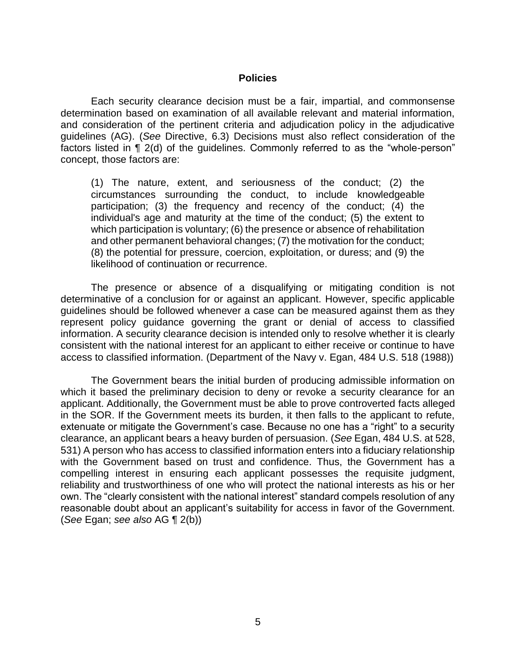#### **Policies**

 Each security clearance decision must be a fair, impartial, and commonsense determination based on examination of all available relevant and material information, and consideration of the pertinent criteria and adjudication policy in the adjudicative guidelines (AG). (*See* Directive, 6.3) Decisions must also reflect consideration of the factors listed in ¶ 2(d) of the guidelines. Commonly referred to as the "whole-person" concept, those factors are:

 (1) The nature, extent, and seriousness of the conduct; (2) the circumstances surrounding the conduct, to include knowledgeable participation; (3) the frequency and recency of the conduct; (4) the individual's age and maturity at the time of the conduct; (5) the extent to which participation is voluntary; (6) the presence or absence of rehabilitation and other permanent behavioral changes; (7) the motivation for the conduct; (8) the potential for pressure, coercion, exploitation, or duress; and (9) the likelihood of continuation or recurrence.

 The presence or absence of a disqualifying or mitigating condition is not determinative of a conclusion for or against an applicant. However, specific applicable guidelines should be followed whenever a case can be measured against them as they represent policy guidance governing the grant or denial of access to classified information. A security clearance decision is intended only to resolve whether it is clearly consistent with the national interest for an applicant to either receive or continue to have access to classified information. (Department of the Navy v. Egan, 484 U.S. 518 (1988))

The Government bears the initial burden of producing admissible information on which it based the preliminary decision to deny or revoke a security clearance for an applicant. Additionally, the Government must be able to prove controverted facts alleged in the SOR. If the Government meets its burden, it then falls to the applicant to refute, extenuate or mitigate the Government's case. Because no one has a "right" to a security clearance, an applicant bears a heavy burden of persuasion. (*See* Egan, 484 U.S. at 528, 531) A person who has access to classified information enters into a fiduciary relationship with the Government based on trust and confidence. Thus, the Government has a compelling interest in ensuring each applicant possesses the requisite judgment, reliability and trustworthiness of one who will protect the national interests as his or her own. The "clearly consistent with the national interest" standard compels resolution of any reasonable doubt about an applicant's suitability for access in favor of the Government. (*See* Egan; *see also* AG ¶ 2(b))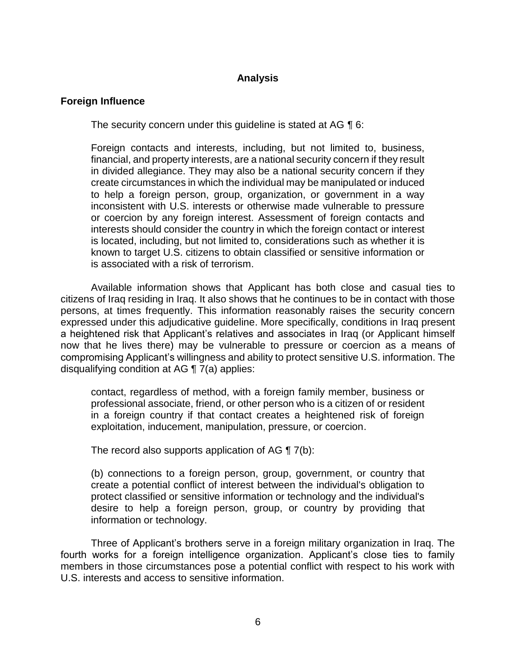## **Analysis**

### **Foreign Influence**

The security concern under this guideline is stated at AG ¶ 6:

 Foreign contacts and interests, including, but not limited to, business, financial, and property interests, are a national security concern if they result in divided allegiance. They may also be a national security concern if they create circumstances in which the individual may be manipulated or induced to help a foreign person, group, organization, or government in a way inconsistent with U.S. interests or otherwise made vulnerable to pressure or coercion by any foreign interest. Assessment of foreign contacts and interests should consider the country in which the foreign contact or interest known to target U.S. citizens to obtain classified or sensitive information or is located, including, but not limited to, considerations such as whether it is is associated with a risk of terrorism.

 citizens of Iraq residing in Iraq. It also shows that he continues to be in contact with those persons, at times frequently. This information reasonably raises the security concern a heightened risk that Applicant's relatives and associates in Iraq (or Applicant himself now that he lives there) may be vulnerable to pressure or coercion as a means of compromising Applicant's willingness and ability to protect sensitive U.S. information. The Available information shows that Applicant has both close and casual ties to expressed under this adjudicative guideline. More specifically, conditions in Iraq present disqualifying condition at AG ¶ 7(a) applies:

 contact, regardless of method, with a foreign family member, business or professional associate, friend, or other person who is a citizen of or resident in a foreign country if that contact creates a heightened risk of foreign exploitation, inducement, manipulation, pressure, or coercion.

The record also supports application of AG  $\P$  7(b):

 (b) connections to a foreign person, group, government, or country that create a potential conflict of interest between the individual's obligation to desire to help a foreign person, group, or country by providing that protect classified or sensitive information or technology and the individual's information or technology.

Three of Applicant's brothers serve in a foreign military organization in Iraq. The fourth works for a foreign intelligence organization. Applicant's close ties to family members in those circumstances pose a potential conflict with respect to his work with U.S. interests and access to sensitive information.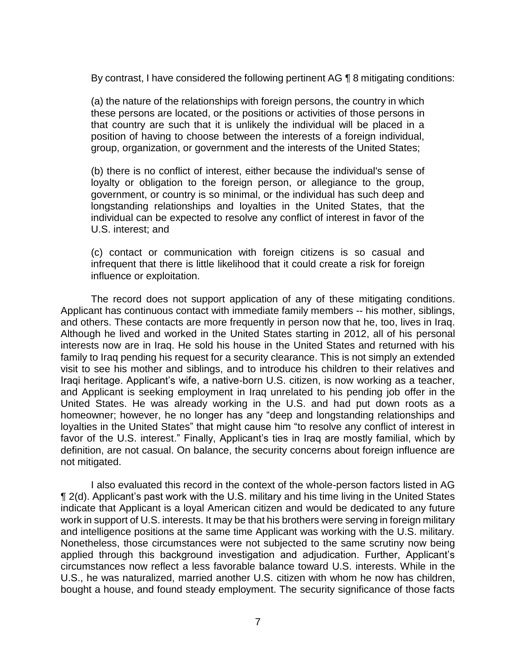By contrast, I have considered the following pertinent AG ¶ 8 mitigating conditions:

 (a) the nature of the relationships with foreign persons, the country in which these persons are located, or the positions or activities of those persons in that country are such that it is unlikely the individual will be placed in a position of having to choose between the interests of a foreign individual, group, organization, or government and the interests of the United States;

(b) there is no conflict of interest, either because the individual's sense of loyalty or obligation to the foreign person, or allegiance to the group, government, or country is so minimal, or the individual has such deep and longstanding relationships and loyalties in the United States, that the individual can be expected to resolve any conflict of interest in favor of the U.S. interest; and

 (c) contact or communication with foreign citizens is so casual and infrequent that there is little likelihood that it could create a risk for foreign influence or exploitation.

 The record does not support application of any of these mitigating conditions. and others. These contacts are more frequently in person now that he, too, lives in Iraq. Although he lived and worked in the United States starting in 2012, all of his personal interests now are in Iraq. He sold his house in the United States and returned with his family to Iraq pending his request for a security clearance. This is not simply an extended visit to see his mother and siblings, and to introduce his children to their relatives and Iraqi heritage. Applicant's wife, a native-born U.S. citizen, is now working as a teacher, and Applicant is seeking employment in Iraq unrelated to his pending job offer in the United States. He was already working in the U.S. and had put down roots as a homeowner; however, he no longer has any "deep and longstanding relationships and loyalties in the United States" that might cause him "to resolve any conflict of interest in favor of the U.S. interest." Finally, Applicant's ties in Iraq are mostly familial, which by definition, are not casual. On balance, the security concerns about foreign influence are Applicant has continuous contact with immediate family members -- his mother, siblings, not mitigated.

 I also evaluated this record in the context of the whole-person factors listed in AG ¶ 2(d). Applicant's past work with the U.S. military and his time living in the United States indicate that Applicant is a loyal American citizen and would be dedicated to any future work in support of U.S. interests. It may be that his brothers were serving in foreign military and intelligence positions at the same time Applicant was working with the U.S. military. Nonetheless, those circumstances were not subjected to the same scrutiny now being applied through this background investigation and adjudication. Further, Applicant's circumstances now reflect a less favorable balance toward U.S. interests. While in the U.S., he was naturalized, married another U.S. citizen with whom he now has children, bought a house, and found steady employment. The security significance of those facts